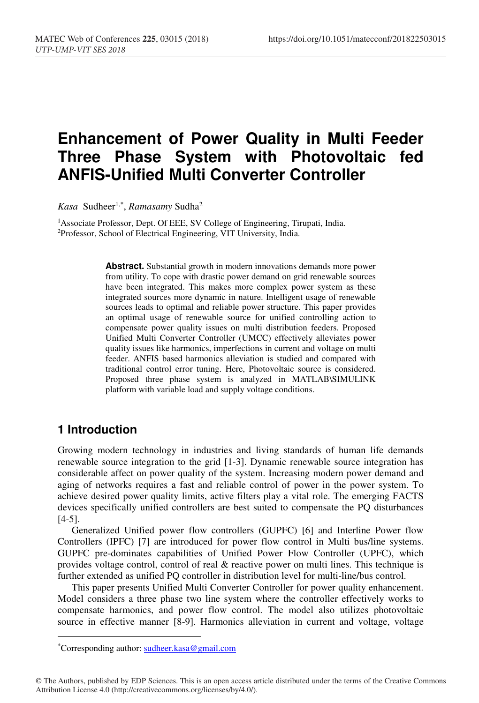# **Enhancement of Power Quality in Multi Feeder Three Phase System with Photovoltaic fed ANFIS-Unified Multi Converter Controller**

*Kasa* Sudheer1,\*, *Ramasamy* Sudha2

<sup>1</sup>Associate Professor, Dept. Of EEE, SV College of Engineering, Tirupati, India. <sup>2</sup>Professor, School of Electrical Engineering, VIT University, India.

**Abstract.** Substantial growth in modern innovations demands more power from utility. To cope with drastic power demand on grid renewable sources have been integrated. This makes more complex power system as these integrated sources more dynamic in nature. Intelligent usage of renewable sources leads to optimal and reliable power structure. This paper provides an optimal usage of renewable source for unified controlling action to compensate power quality issues on multi distribution feeders. Proposed Unified Multi Converter Controller (UMCC) effectively alleviates power quality issues like harmonics, imperfections in current and voltage on multi feeder. ANFIS based harmonics alleviation is studied and compared with traditional control error tuning. Here, Photovoltaic source is considered. Proposed three phase system is analyzed in MATLAB\SIMULINK platform with variable load and supply voltage conditions.

## **1 Introduction**

-

Growing modern technology in industries and living standards of human life demands renewable source integration to the grid [1-3]. Dynamic renewable source integration has considerable affect on power quality of the system. Increasing modern power demand and aging of networks requires a fast and reliable control of power in the power system. To achieve desired power quality limits, active filters play a vital role. The emerging FACTS devices specifically unified controllers are best suited to compensate the PQ disturbances [4-5].

Generalized Unified power flow controllers (GUPFC) [6] and Interline Power flow Controllers (IPFC) [7] are introduced for power flow control in Multi bus/line systems. GUPFC pre-dominates capabilities of Unified Power Flow Controller (UPFC), which provides voltage control, control of real & reactive power on multi lines. This technique is further extended as unified PQ controller in distribution level for multi-line/bus control.

This paper presents Unified Multi Converter Controller for power quality enhancement. Model considers a three phase two line system where the controller effectively works to compensate harmonics, and power flow control. The model also utilizes photovoltaic source in effective manner [8-9]. Harmonics alleviation in current and voltage, voltage

© The Authors, published by EDP Sciences. This is an open access article distributed under the terms of the Creative Commons Attribution License 4.0 (http://creativecommons.org/licenses/by/4.0/).

<sup>\*</sup> Corresponding author: sudheer.kasa@gmail.com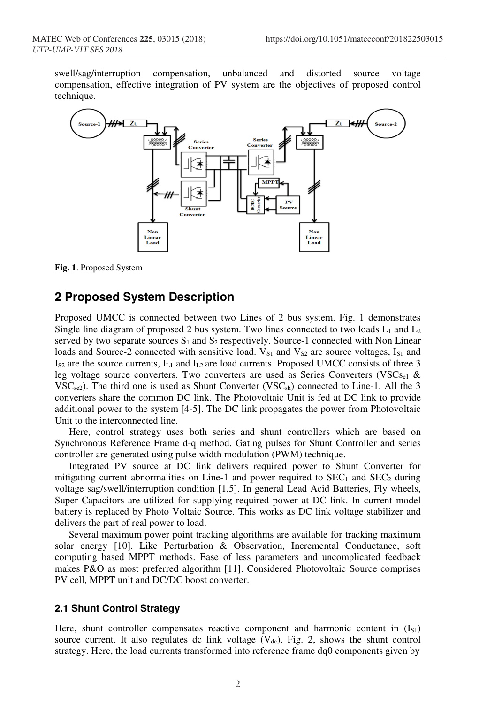swell/sag/interruption compensation, unbalanced and distorted source voltage compensation, effective integration of PV system are the objectives of proposed control technique.



**Fig. 1**. Proposed System

## **2 Proposed System Description**

Proposed UMCC is connected between two Lines of 2 bus system. Fig. 1 demonstrates Single line diagram of proposed 2 bus system. Two lines connected to two loads  $L_1$  and  $L_2$ served by two separate sources  $S_1$  and  $S_2$  respectively. Source-1 connected with Non Linear loads and Source-2 connected with sensitive load.  $V_{S1}$  and  $V_{S2}$  are source voltages,  $I_{S1}$  and  $I_{S2}$  are the source currents,  $I_{L1}$  and  $I_{L2}$  are load currents. Proposed UMCC consists of three 3 leg voltage source converters. Two converters are used as Series Converters (VSCs<sub>e1</sub> &  $VSC<sub>se2</sub>$ ). The third one is used as Shunt Converter (VSC<sub>sh</sub>) connected to Line-1. All the 3 converters share the common DC link. The Photovoltaic Unit is fed at DC link to provide additional power to the system [4-5]. The DC link propagates the power from Photovoltaic Unit to the interconnected line.

Here, control strategy uses both series and shunt controllers which are based on Synchronous Reference Frame d-q method. Gating pulses for Shunt Controller and series controller are generated using pulse width modulation (PWM) technique.

Integrated PV source at DC link delivers required power to Shunt Converter for mitigating current abnormalities on Line-1 and power required to  $SEC<sub>1</sub>$  and  $SEC<sub>2</sub>$  during voltage sag/swell/interruption condition [1,5]. In general Lead Acid Batteries, Fly wheels, Super Capacitors are utilized for supplying required power at DC link. In current model battery is replaced by Photo Voltaic Source. This works as DC link voltage stabilizer and delivers the part of real power to load.

Several maximum power point tracking algorithms are available for tracking maximum solar energy [10]. Like Perturbation & Observation, Incremental Conductance, soft computing based MPPT methods. Ease of less parameters and uncomplicated feedback makes P&O as most preferred algorithm [11]. Considered Photovoltaic Source comprises PV cell, MPPT unit and DC/DC boost converter.

#### **2.1 Shunt Control Strategy**

Here, shunt controller compensates reactive component and harmonic content in  $(I_{S1})$ source current. It also regulates dc link voltage  $(V_{dc})$ . Fig. 2, shows the shunt control strategy. Here, the load currents transformed into reference frame dq0 components given by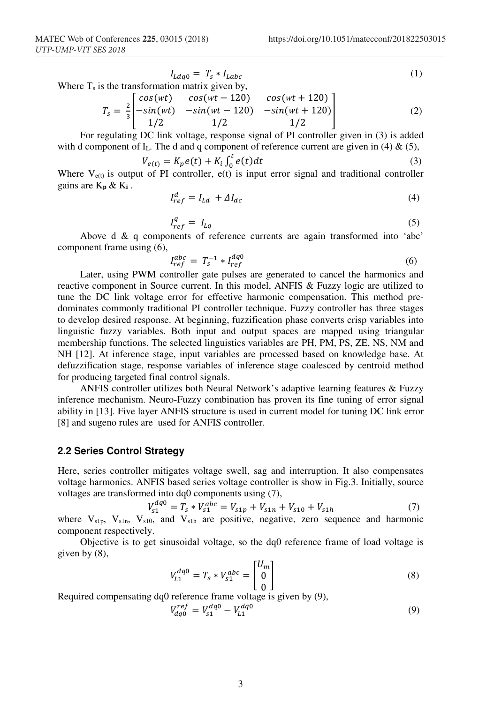$$
I_{Ldq0} = T_s * I_{Labc}
$$
\nWhere T is the transformation matrix given by

\n
$$
I_{Ldq0} = I_s * I_{Labc}
$$
\n(1)

Where  $T_s$  is the transformation matrix given by,

$$
T_s = \frac{2}{3} \begin{bmatrix} cos(wt) & cos(wt - 120) & cos(wt + 120) \\ -sin(wt) & -sin(wt - 120) & -sin(wt + 120) \\ 1/2 & 1/2 & 1/2 \end{bmatrix}
$$
(2)

For regulating DC link voltage, response signal of PI controller given in (3) is added with d component of  $I_L$ . The d and q component of reference current are given in (4) & (5),

$$
V_{e(t)} = K_p e(t) + K_i \int_0^t e(t) dt
$$
\n(3)

Where  $V_{e(t)}$  is output of PI controller,  $e(t)$  is input error signal and traditional controller gains are K**p** & K**i** .

$$
I_{ref}^a = I_{Ld} + \Delta I_{dc} \tag{4}
$$

$$
I_{ref}^q = I_{Lq} \tag{5}
$$

Above d & q components of reference currents are again transformed into 'abc' component frame using (6),

$$
I_{ref}^{abc} = T_s^{-1} * I_{ref}^{dq0}
$$
 (6)

Later, using PWM controller gate pulses are generated to cancel the harmonics and reactive component in Source current. In this model, ANFIS & Fuzzy logic are utilized to tune the DC link voltage error for effective harmonic compensation. This method predominates commonly traditional PI controller technique. Fuzzy controller has three stages to develop desired response. At beginning, fuzzification phase converts crisp variables into linguistic fuzzy variables. Both input and output spaces are mapped using triangular membership functions. The selected linguistics variables are PH, PM, PS, ZE, NS, NM and NH [12]. At inference stage, input variables are processed based on knowledge base. At defuzzification stage, response variables of inference stage coalesced by centroid method for producing targeted final control signals.

ANFIS controller utilizes both Neural Network's adaptive learning features & Fuzzy inference mechanism. Neuro-Fuzzy combination has proven its fine tuning of error signal ability in [13]. Five layer ANFIS structure is used in current model for tuning DC link error [8] and sugeno rules are used for ANFIS controller.

#### **2.2 Series Control Strategy**

Here, series controller mitigates voltage swell, sag and interruption. It also compensates voltage harmonics. ANFIS based series voltage controller is show in Fig.3. Initially, source voltages are transformed into dq0 components using (7),

$$
V_{s1}^{dq0} = T_s * V_{s1}^{abc} = V_{s1p} + V_{s1n} + V_{s10} + V_{s1h}
$$
 (7)

where  $V_{\rm s1p}$ ,  $V_{\rm s1n}$ ,  $V_{\rm s10}$ , and  $V_{\rm s1h}$  are positive, negative, zero sequence and harmonic component respectively.

Objective is to get sinusoidal voltage, so the dq0 reference frame of load voltage is given by (8),  $\ddot{\phantom{0}}$ 

$$
V_{L1}^{dq0} = T_s * V_{s1}^{abc} = \begin{bmatrix} U_m \\ 0 \\ 0 \end{bmatrix}
$$
 (8)

0 Required compensating dq0 reference frame voltage is given by (9),

$$
V_{dq0}^{ref} = V_{s1}^{dq0} - V_{L1}^{dq0}
$$
 (9)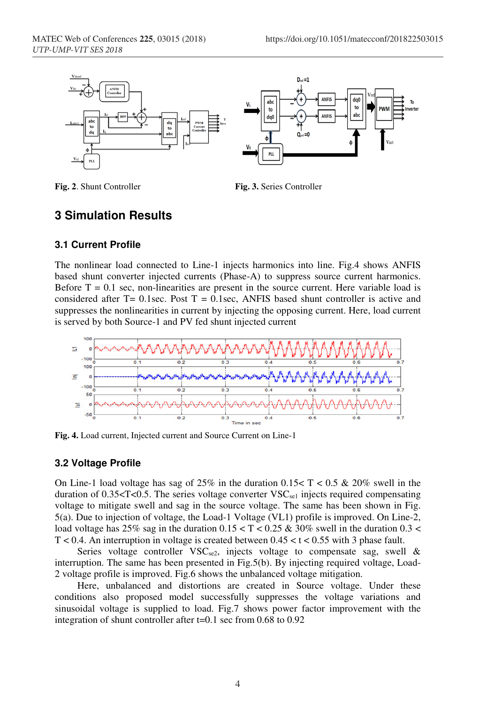



**Fig. 2**. Shunt Controller **Fig. 3.** Series Controller

## **3 Simulation Results**

#### **3.1 Current Profile**

The nonlinear load connected to Line-1 injects harmonics into line. Fig.4 shows ANFIS based shunt converter injected currents (Phase-A) to suppress source current harmonics. Before  $T = 0.1$  sec, non-linearities are present in the source current. Here variable load is considered after  $T = 0.1$ sec. Post  $T = 0.1$ sec. ANFIS based shunt controller is active and suppresses the nonlinearities in current by injecting the opposing current. Here, load current is served by both Source-1 and PV fed shunt injected current



**Fig. 4.** Load current, Injected current and Source Current on Line-1

#### **3.2 Voltage Profile**

On Line-1 load voltage has sag of 25% in the duration  $0.15 < T < 0.5$  & 20% swell in the duration of 0.35 $\lt T$ <0.5. The series voltage converter VSC<sub>se1</sub> injects required compensating voltage to mitigate swell and sag in the source voltage. The same has been shown in Fig. 5(a). Due to injection of voltage, the Load-1 Voltage (VL1) profile is improved. On Line-2, load voltage has 25% sag in the duration  $0.15 < T < 0.25 \& 30\%$  swell in the duration  $0.3 <$ T < 0.4. An interruption in voltage is created between  $0.45 < t < 0.55$  with 3 phase fault.

Series voltage controller  $VSC_{se2}$ , injects voltage to compensate sag, swell & interruption. The same has been presented in Fig.5(b). By injecting required voltage, Load-2 voltage profile is improved. Fig.6 shows the unbalanced voltage mitigation.

Here, unbalanced and distortions are created in Source voltage. Under these conditions also proposed model successfully suppresses the voltage variations and sinusoidal voltage is supplied to load. Fig.7 shows power factor improvement with the integration of shunt controller after t=0.1 sec from 0.68 to 0.92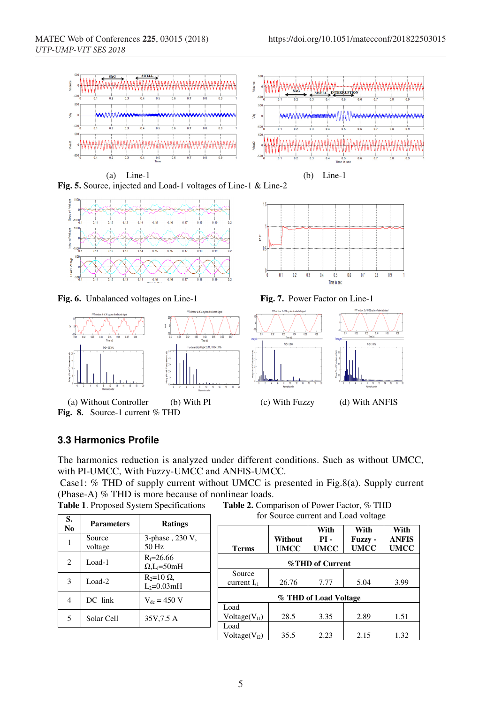





**Fig. 6.** Unbalanced voltages on Line-1 **Fig. 7.** Power Factor on Line-1



FFT window: 4 of 34 cycles of selecte

**Fig. 8.** Source-1 current % THD





#### **3.3 Harmonics Profile**

The harmonics reduction is analyzed under different conditions. Such as without UMCC, with PI-UMCC, With Fuzzy-UMCC and ANFIS-UMCC.

 Case1: % THD of supply current without UMCC is presented in Fig.8(a). Supply current (Phase-A)  $%$  THD is more because of nonlinear loads.<br>Table 1. Proposed System Specifications Table 2. Comparent

**Table 2.** Comparison of Power Factor, % THD

|                |                   | for Source current and Load voltage |                           |             |             |                |              |
|----------------|-------------------|-------------------------------------|---------------------------|-------------|-------------|----------------|--------------|
| S.             | <b>Parameters</b> | Ratings                             |                           |             |             |                |              |
| No             |                   |                                     |                           |             | With        | With           | With         |
|                | Source            | 3-phase, 230 V,                     |                           | Without     | $PI -$      | <b>Fuzzy</b> - | <b>ANFIS</b> |
|                | voltage           | 50 Hz                               | <b>Terms</b>              | <b>UMCC</b> | <b>UMCC</b> | <b>UMCC</b>    | <b>UMCC</b>  |
| 2              | Load- $1$         | $R_1 = 26.66$<br>$Q_{L} = 50mH$     | %THD of Current           |             |             |                |              |
|                |                   |                                     | Source                    |             |             |                |              |
| 3              | Load- $2$         | $R_2=10 \Omega$<br>$L_2=0.03mH$     | current $I_{s1}$          | 26.76       | 7.77        | 5.04           | 3.99         |
| $\overline{4}$ | DC link           | $V_{dc} = 450 V$                    | % THD of Load Voltage     |             |             |                |              |
|                |                   |                                     | Load                      |             |             |                |              |
| 5              | Solar Cell        | 35V, 7.5 A                          | Voltage(V <sub>11</sub> ) | 28.5        | 3.35        | 2.89           | 1.51         |
|                |                   |                                     | Load                      |             |             |                |              |
|                |                   |                                     | $Voltage(V_{12})$         | 35.5        | 2.23        | 2.15           | 1.32         |